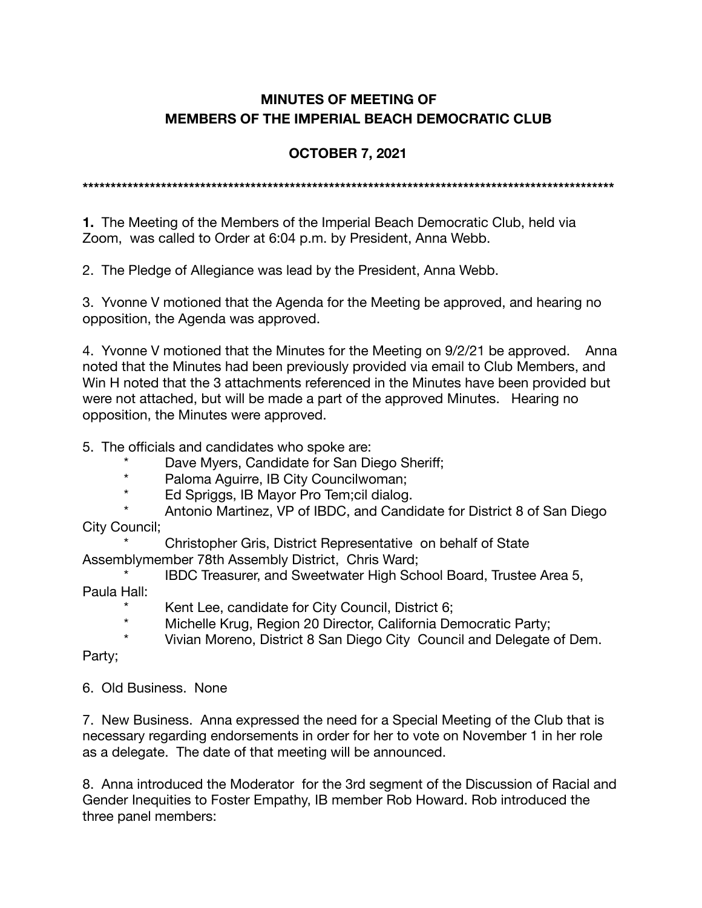## **MINUTES OF MEETING OF MEMBERS OF THE IMPERIAL BEACH DEMOCRATIC CLUB**

## **OCTOBER 7, 2021**

**\*\*\*\*\*\*\*\*\*\*\*\*\*\*\*\*\*\*\*\*\*\*\*\*\*\*\*\*\*\*\*\*\*\*\*\*\*\*\*\*\*\*\*\*\*\*\*\*\*\*\*\*\*\*\*\*\*\*\*\*\*\*\*\*\*\*\*\*\*\*\*\*\*\*\*\*\*\*\*\*\*\*\*\*\*\*\*\*\*\*\*\*\*\*\*** 

**1.** The Meeting of the Members of the Imperial Beach Democratic Club, held via Zoom, was called to Order at 6:04 p.m. by President, Anna Webb.

2. The Pledge of Allegiance was lead by the President, Anna Webb.

3. Yvonne V motioned that the Agenda for the Meeting be approved, and hearing no opposition, the Agenda was approved.

4. Yvonne V motioned that the Minutes for the Meeting on 9/2/21 be approved. Anna noted that the Minutes had been previously provided via email to Club Members, and Win H noted that the 3 attachments referenced in the Minutes have been provided but were not attached, but will be made a part of the approved Minutes. Hearing no opposition, the Minutes were approved.

5. The officials and candidates who spoke are:

- Dave Myers, Candidate for San Diego Sheriff;
- \* Paloma Aguirre, IB City Councilwoman;
- \* Ed Spriggs, IB Mayor Pro Tem;cil dialog.
- Antonio Martinez, VP of IBDC, and Candidate for District 8 of San Diego City Council;

Christopher Gris, District Representative on behalf of State Assemblymember 78th Assembly District, Chris Ward;

- IBDC Treasurer, and Sweetwater High School Board, Trustee Area 5, Paula Hall:
	- Kent Lee, candidate for City Council, District 6;
	- \* Michelle Krug, Region 20 Director, California Democratic Party;
	- Vivian Moreno, District 8 San Diego City Council and Delegate of Dem.

Party;

6. Old Business. None

7. New Business. Anna expressed the need for a Special Meeting of the Club that is necessary regarding endorsements in order for her to vote on November 1 in her role as a delegate. The date of that meeting will be announced.

8. Anna introduced the Moderator for the 3rd segment of the Discussion of Racial and Gender Inequities to Foster Empathy, IB member Rob Howard. Rob introduced the three panel members: